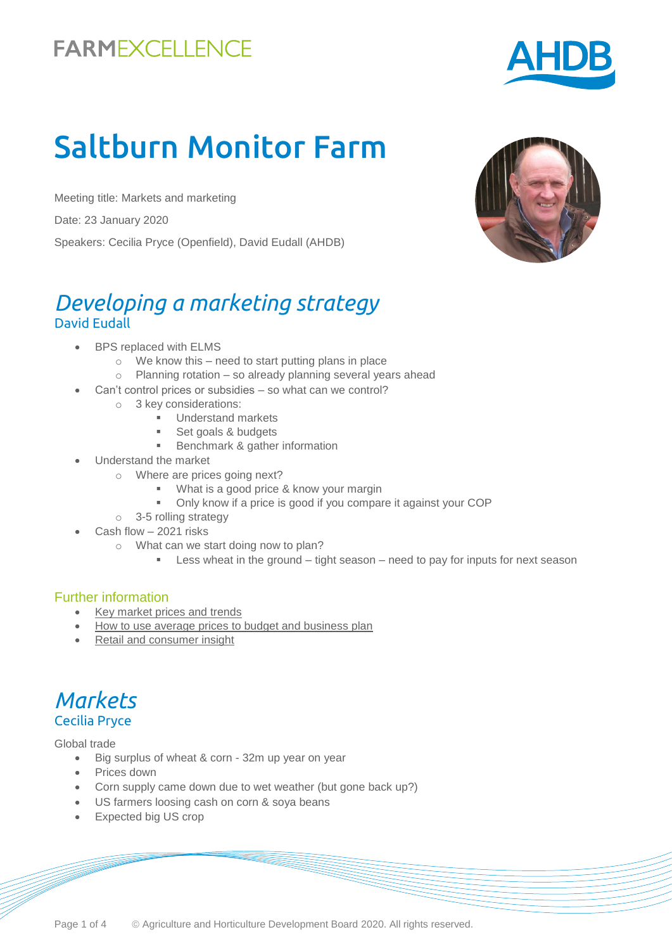# Saltburn Monitor Farm

Meeting title: Markets and marketing Date: 23 January 2020 Speakers: Cecilia Pryce (Openfield), David Eudall (AHDB)

### *Developing a marketing strategy*  David Eudall

- BPS replaced with ELMS
	- $\circ$  We know this need to start putting plans in place
	- o Planning rotation so already planning several years ahead
	- Can't control prices or subsidies so what can we control?
		- o 3 key considerations:
			- **Understand markets**
			- Set goals & budgets
			- **Benchmark & gather information**
- Understand the market
	- o Where are prices going next?
		- What is a good price & know your margin
		- Only know if a price is good if you compare it against your COP
	- o 3-5 rolling strategy
	- Cash flow 2021 risks
		- o What can we start doing now to plan?
			- **EXELLESS** wheat in the ground tight season need to pay for inputs for next season

#### Further information

- [Key market prices and trends](https://ahdb.org.uk/markets-and-prices)
- [How to use average prices to budget and business plan](https://ahdb.org.uk/long-term-pricing)
- [Retail and consumer insight](https://ahdb.org.uk/retail-and-consumer-insight)



Global trade

- Big surplus of wheat & corn 32m up year on year
- Prices down
- Corn supply came down due to wet weather (but gone back up?)
- US farmers loosing cash on corn & soya beans
- Expected big US crop





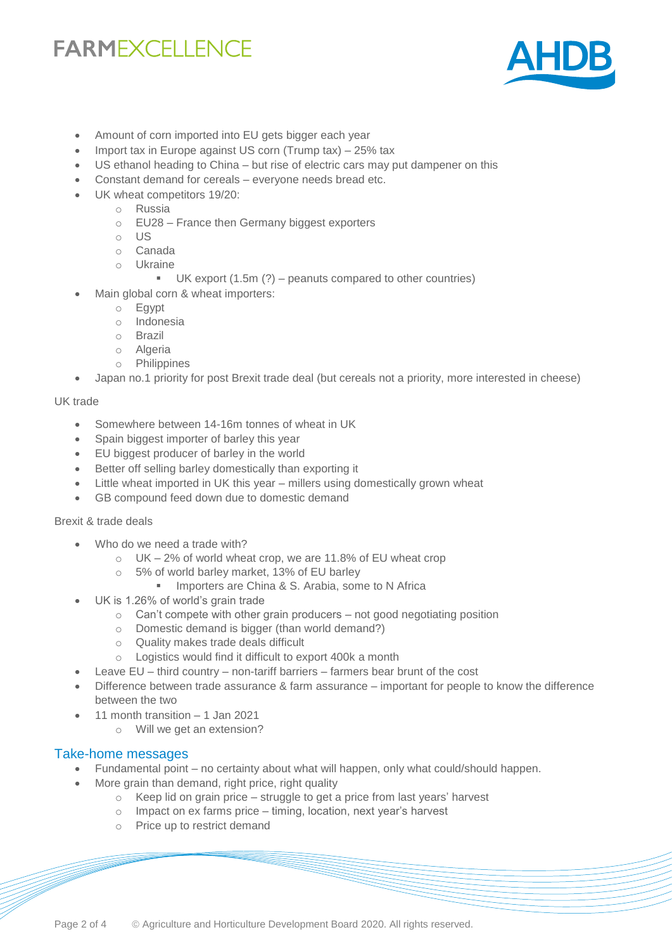

- Amount of corn imported into EU gets bigger each year
- Import tax in Europe against US corn (Trump tax) 25% tax
- US ethanol heading to China but rise of electric cars may put dampener on this
- Constant demand for cereals everyone needs bread etc.
- UK wheat competitors 19/20:
	- o Russia
	- o EU28 France then Germany biggest exporters
	- o US
	- o Canada
	- o Ukraine
		- UK export (1.5m (?) peanuts compared to other countries)
	- Main global corn & wheat importers:
		- o Egypt
		- o Indonesia
		- o Brazil
		- o Algeria
		- o Philippines
- Japan no.1 priority for post Brexit trade deal (but cereals not a priority, more interested in cheese)

#### UK trade

- Somewhere between 14-16m tonnes of wheat in UK
- Spain biggest importer of barley this year
- EU biggest producer of barley in the world
- Better off selling barley domestically than exporting it
- Little wheat imported in UK this year millers using domestically grown wheat
- GB compound feed down due to domestic demand

#### Brexit & trade deals

- Who do we need a trade with?
	- o UK 2% of world wheat crop, we are 11.8% of EU wheat crop
	- o 5% of world barley market, 13% of EU barley
		- **IMPORT Arighter Arighter St** . Arabia, some to N Africa
- UK is 1.26% of world's grain trade
	- $\circ$  Can't compete with other grain producers not good negotiating position
	- o Domestic demand is bigger (than world demand?)
	- o Quality makes trade deals difficult
	- o Logistics would find it difficult to export 400k a month
- Leave EU third country non-tariff barriers farmers bear brunt of the cost
- Difference between trade assurance & farm assurance important for people to know the difference between the two
- 11 month transition 1 Jan 2021
	- o Will we get an extension?

#### Take-home messages

- Fundamental point no certainty about what will happen, only what could/should happen.
- More grain than demand, right price, right quality
	- $\circ$  Keep lid on grain price struggle to get a price from last years' harvest
	- o Impact on ex farms price timing, location, next year's harvest
	- o Price up to restrict demand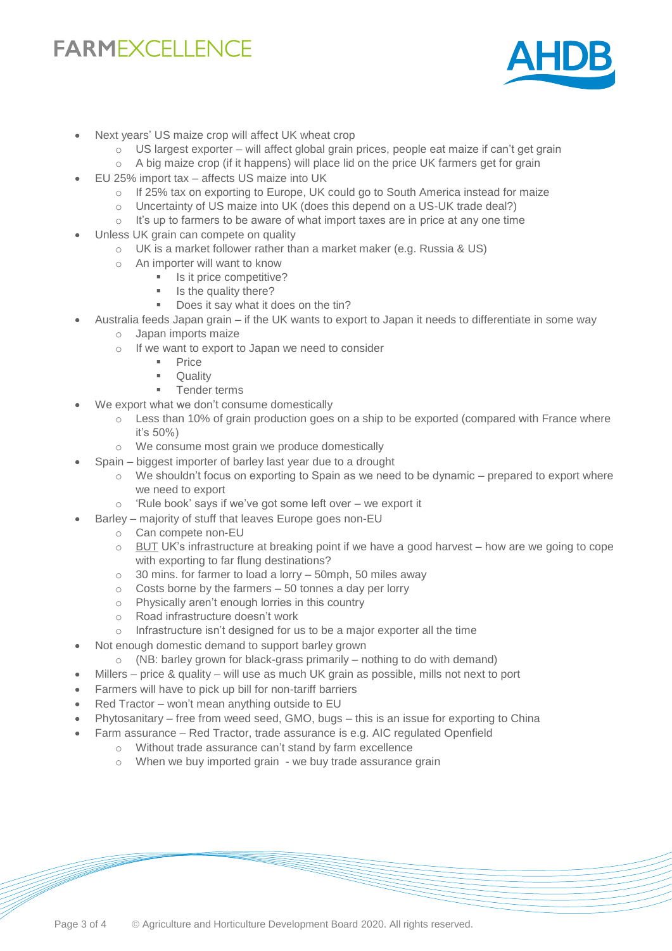

- Next years' US maize crop will affect UK wheat crop
	- $\circ$  US largest exporter will affect global grain prices, people eat maize if can't get grain
	- $\circ$  A big maize crop (if it happens) will place lid on the price UK farmers get for grain
- EU 25% import tax affects US maize into UK
	- $\circ$  If 25% tax on exporting to Europe, UK could go to South America instead for maize
	- o Uncertainty of US maize into UK (does this depend on a US-UK trade deal?)
	- $\circ$  It's up to farmers to be aware of what import taxes are in price at any one time
- Unless UK grain can compete on quality
	- o UK is a market follower rather than a market maker (e.g. Russia & US)
	- o An importer will want to know
		- **IS it price competitive?**
		- Is the quality there?
		- Does it say what it does on the tin?
- Australia feeds Japan grain if the UK wants to export to Japan it needs to differentiate in some way
	- o Japan imports maize
	- o If we want to export to Japan we need to consider
		- Price
		- **Cuality**
		- **Tender terms**
- We export what we don't consume domestically
	- $\circ$  Less than 10% of grain production goes on a ship to be exported (compared with France where it's 50%)
	- o We consume most grain we produce domestically
- Spain biggest importer of barley last year due to a drought
	- $\circ$  We shouldn't focus on exporting to Spain as we need to be dynamic prepared to export where we need to export
	- o 'Rule book' says if we've got some left over we export it
- Barley majority of stuff that leaves Europe goes non-EU
	- o Can compete non-EU
	- $\circ$  BUT UK's infrastructure at breaking point if we have a good harvest how are we going to cope with exporting to far flung destinations?
	- o 30 mins. for farmer to load a lorry 50mph, 50 miles away
	- $\circ$  Costs borne by the farmers 50 tonnes a day per lorry
	- o Physically aren't enough lorries in this country
	- o Road infrastructure doesn't work
	- $\circ$  Infrastructure isn't designed for us to be a major exporter all the time
- Not enough domestic demand to support barley grown
	- o (NB: barley grown for black-grass primarily nothing to do with demand)
	- Millers price & quality will use as much UK grain as possible, mills not next to port
- Farmers will have to pick up bill for non-tariff barriers
- Red Tractor won't mean anything outside to EU
- Phytosanitary free from weed seed, GMO, bugs this is an issue for exporting to China
	- Farm assurance Red Tractor, trade assurance is e.g. AIC regulated Openfield
		- o Without trade assurance can't stand by farm excellence
			- o When we buy imported grain we buy trade assurance grain